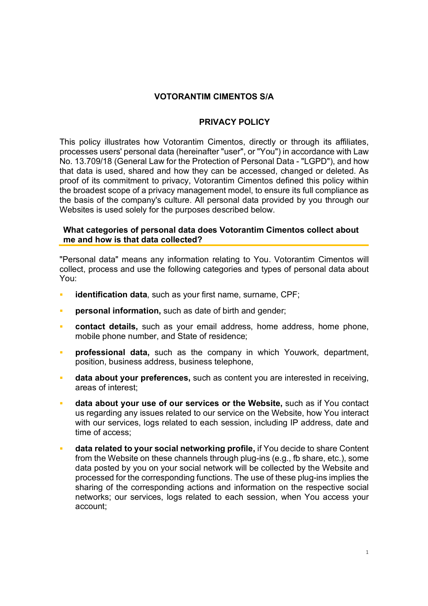# VOTORANTIM CIMENTOS S/A

## PRIVACY POLICY

This policy illustrates how Votorantim Cimentos, directly or through its affiliates, processes users' personal data (hereinafter "user", or "You") in accordance with Law No. 13.709/18 (General Law for the Protection of Personal Data - "LGPD"), and how that data is used, shared and how they can be accessed, changed or deleted. As proof of its commitment to privacy, Votorantim Cimentos defined this policy within the broadest scope of a privacy management model, to ensure its full compliance as the basis of the company's culture. All personal data provided by you through our Websites is used solely for the purposes described below.

### What categories of personal data does Votorantim Cimentos collect about me and how is that data collected?

"Personal data" means any information relating to You. Votorantim Cimentos will collect, process and use the following categories and types of personal data about You:

- **identification data**, such as your first name, surname, CPF;
- personal information, such as date of birth and gender;
- contact details, such as your email address, home address, home phone, mobile phone number, and State of residence;
- professional data, such as the company in which Youwork, department, position, business address, business telephone,
- data about your preferences, such as content you are interested in receiving, areas of interest;
- data about your use of our services or the Website, such as if You contact us regarding any issues related to our service on the Website, how You interact with our services, logs related to each session, including IP address, date and time of access;
- data related to your social networking profile, if You decide to share Content from the Website on these channels through plug-ins (e.g., fb share, etc.), some data posted by you on your social network will be collected by the Website and processed for the corresponding functions. The use of these plug-ins implies the sharing of the corresponding actions and information on the respective social networks; our services, logs related to each session, when You access your account;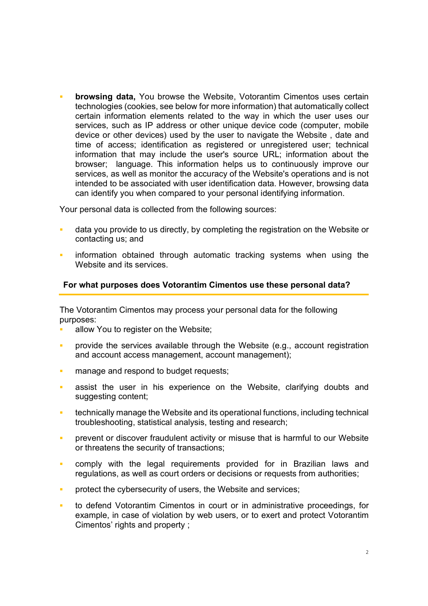browsing data, You browse the Website, Votorantim Cimentos uses certain technologies (cookies, see below for more information) that automatically collect certain information elements related to the way in which the user uses our services, such as IP address or other unique device code (computer, mobile device or other devices) used by the user to navigate the Website , date and time of access; identification as registered or unregistered user; technical information that may include the user's source URL; information about the browser; language. This information helps us to continuously improve our services, as well as monitor the accuracy of the Website's operations and is not intended to be associated with user identification data. However, browsing data can identify you when compared to your personal identifying information.

Your personal data is collected from the following sources:

- data you provide to us directly, by completing the registration on the Website or contacting us; and
- information obtained through automatic tracking systems when using the Website and its services.

### For what purposes does Votorantim Cimentos use these personal data?

The Votorantim Cimentos may process your personal data for the following purposes:

- allow You to register on the Website;
- provide the services available through the Website (e.g., account registration and account access management, account management);
- **nanage and respond to budget requests;**
- assist the user in his experience on the Website, clarifying doubts and suggesting content;
- technically manage the Website and its operational functions, including technical troubleshooting, statistical analysis, testing and research;
- prevent or discover fraudulent activity or misuse that is harmful to our Website or threatens the security of transactions;
- comply with the legal requirements provided for in Brazilian laws and regulations, as well as court orders or decisions or requests from authorities;
- **PEDFIGHT FIGHT CYLET SET CONCRETE:** protect the cybersecurity of users, the Website and services;
- to defend Votorantim Cimentos in court or in administrative proceedings, for example, in case of violation by web users, or to exert and protect Votorantim Cimentos' rights and property ;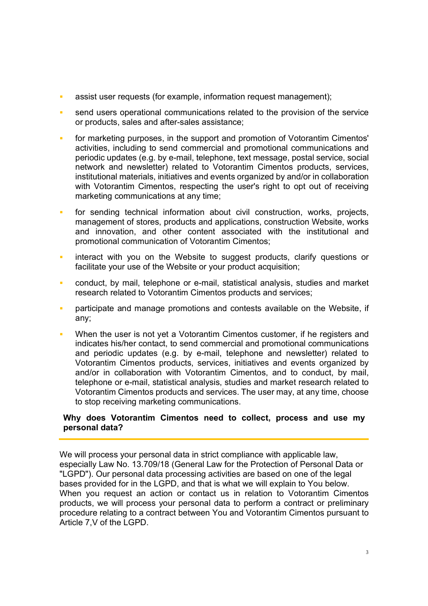- assist user requests (for example, information request management);
- send users operational communications related to the provision of the service or products, sales and after-sales assistance;
- for marketing purposes, in the support and promotion of Votorantim Cimentos' activities, including to send commercial and promotional communications and periodic updates (e.g. by e-mail, telephone, text message, postal service, social network and newsletter) related to Votorantim Cimentos products, services, institutional materials, initiatives and events organized by and/or in collaboration with Votorantim Cimentos, respecting the user's right to opt out of receiving marketing communications at any time;
- **for sending technical information about civil construction, works, projects,** management of stores, products and applications, construction Website, works and innovation, and other content associated with the institutional and promotional communication of Votorantim Cimentos;
- interact with you on the Website to suggest products, clarify questions or facilitate your use of the Website or your product acquisition;
- conduct, by mail, telephone or e-mail, statistical analysis, studies and market research related to Votorantim Cimentos products and services;
- **participate and manage promotions and contests available on the Website, if** any;
- When the user is not yet a Votorantim Cimentos customer, if he registers and indicates his/her contact, to send commercial and promotional communications and periodic updates (e.g. by e-mail, telephone and newsletter) related to Votorantim Cimentos products, services, initiatives and events organized by and/or in collaboration with Votorantim Cimentos, and to conduct, by mail, telephone or e-mail, statistical analysis, studies and market research related to Votorantim Cimentos products and services. The user may, at any time, choose to stop receiving marketing communications.

# Why does Votorantim Cimentos need to collect, process and use my personal data?

We will process your personal data in strict compliance with applicable law, especially Law No. 13.709/18 (General Law for the Protection of Personal Data or "LGPD"). Our personal data processing activities are based on one of the legal bases provided for in the LGPD, and that is what we will explain to You below. When you request an action or contact us in relation to Votorantim Cimentos products, we will process your personal data to perform a contract or preliminary procedure relating to a contract between You and Votorantim Cimentos pursuant to Article 7,V of the LGPD.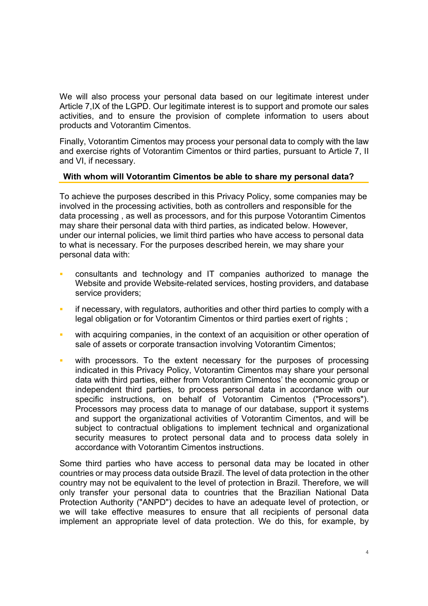We will also process your personal data based on our legitimate interest under Article 7,IX of the LGPD. Our legitimate interest is to support and promote our sales activities, and to ensure the provision of complete information to users about products and Votorantim Cimentos.

Finally, Votorantim Cimentos may process your personal data to comply with the law and exercise rights of Votorantim Cimentos or third parties, pursuant to Article 7, II and VI, if necessary.

# With whom will Votorantim Cimentos be able to share my personal data?

To achieve the purposes described in this Privacy Policy, some companies may be involved in the processing activities, both as controllers and responsible for the data processing , as well as processors, and for this purpose Votorantim Cimentos may share their personal data with third parties, as indicated below. However, under our internal policies, we limit third parties who have access to personal data to what is necessary. For the purposes described herein, we may share your personal data with:

- consultants and technology and IT companies authorized to manage the Website and provide Website-related services, hosting providers, and database service providers;
- if necessary, with regulators, authorities and other third parties to comply with a legal obligation or for Votorantim Cimentos or third parties exert of rights ;
- with acquiring companies, in the context of an acquisition or other operation of sale of assets or corporate transaction involving Votorantim Cimentos;
- with processors. To the extent necessary for the purposes of processing indicated in this Privacy Policy, Votorantim Cimentos may share your personal data with third parties, either from Votorantim Cimentos' the economic group or independent third parties, to process personal data in accordance with our specific instructions, on behalf of Votorantim Cimentos ("Processors"). Processors may process data to manage of our database, support it systems and support the organizational activities of Votorantim Cimentos, and will be subject to contractual obligations to implement technical and organizational security measures to protect personal data and to process data solely in accordance with Votorantim Cimentos instructions.

Some third parties who have access to personal data may be located in other countries or may process data outside Brazil. The level of data protection in the other country may not be equivalent to the level of protection in Brazil. Therefore, we will only transfer your personal data to countries that the Brazilian National Data Protection Authority ("ANPD") decides to have an adequate level of protection, or we will take effective measures to ensure that all recipients of personal data implement an appropriate level of data protection. We do this, for example, by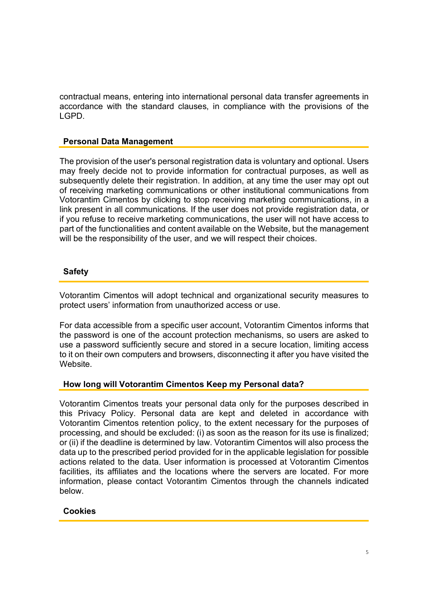contractual means, entering into international personal data transfer agreements in accordance with the standard clauses, in compliance with the provisions of the LGPD.

# Personal Data Management

The provision of the user's personal registration data is voluntary and optional. Users may freely decide not to provide information for contractual purposes, as well as subsequently delete their registration. In addition, at any time the user may opt out of receiving marketing communications or other institutional communications from Votorantim Cimentos by clicking to stop receiving marketing communications, in a link present in all communications. If the user does not provide registration data, or if you refuse to receive marketing communications, the user will not have access to part of the functionalities and content available on the Website, but the management will be the responsibility of the user, and we will respect their choices.

# Safety

Votorantim Cimentos will adopt technical and organizational security measures to protect users' information from unauthorized access or use.

For data accessible from a specific user account, Votorantim Cimentos informs that the password is one of the account protection mechanisms, so users are asked to use a password sufficiently secure and stored in a secure location, limiting access to it on their own computers and browsers, disconnecting it after you have visited the Website.

### How long will Votorantim Cimentos Keep my Personal data?

Votorantim Cimentos treats your personal data only for the purposes described in this Privacy Policy. Personal data are kept and deleted in accordance with Votorantim Cimentos retention policy, to the extent necessary for the purposes of processing, and should be excluded: (i) as soon as the reason for its use is finalized; or (ii) if the deadline is determined by law. Votorantim Cimentos will also process the data up to the prescribed period provided for in the applicable legislation for possible actions related to the data. User information is processed at Votorantim Cimentos facilities, its affiliates and the locations where the servers are located. For more information, please contact Votorantim Cimentos through the channels indicated below.

# Cookies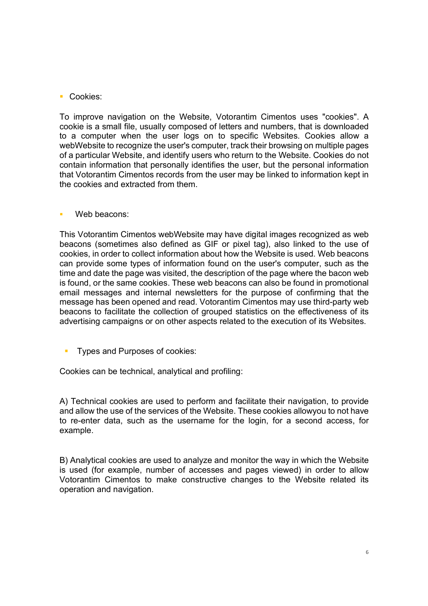**Cookies:** 

To improve navigation on the Website, Votorantim Cimentos uses "cookies". A cookie is a small file, usually composed of letters and numbers, that is downloaded to a computer when the user logs on to specific Websites. Cookies allow a webWebsite to recognize the user's computer, track their browsing on multiple pages of a particular Website, and identify users who return to the Website. Cookies do not contain information that personally identifies the user, but the personal information that Votorantim Cimentos records from the user may be linked to information kept in the cookies and extracted from them.

### Web beacons:

This Votorantim Cimentos webWebsite may have digital images recognized as web beacons (sometimes also defined as GIF or pixel tag), also linked to the use of cookies, in order to collect information about how the Website is used. Web beacons can provide some types of information found on the user's computer, such as the time and date the page was visited, the description of the page where the bacon web is found, or the same cookies. These web beacons can also be found in promotional email messages and internal newsletters for the purpose of confirming that the message has been opened and read. Votorantim Cimentos may use third-party web beacons to facilitate the collection of grouped statistics on the effectiveness of its advertising campaigns or on other aspects related to the execution of its Websites.

Types and Purposes of cookies:

Cookies can be technical, analytical and profiling:

A) Technical cookies are used to perform and facilitate their navigation, to provide and allow the use of the services of the Website. These cookies allowyou to not have to re-enter data, such as the username for the login, for a second access, for example.

B) Analytical cookies are used to analyze and monitor the way in which the Website is used (for example, number of accesses and pages viewed) in order to allow Votorantim Cimentos to make constructive changes to the Website related its operation and navigation.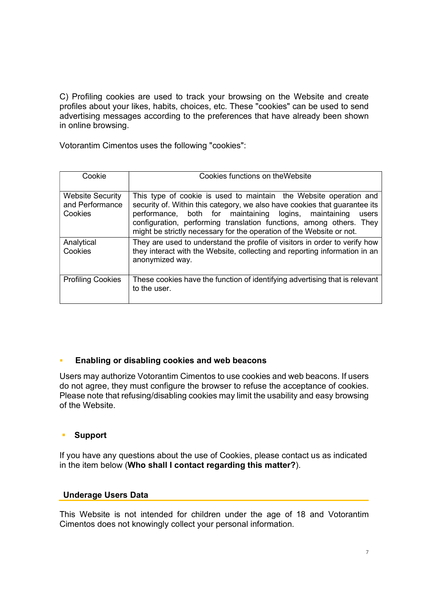C) Profiling cookies are used to track your browsing on the Website and create profiles about your likes, habits, choices, etc. These "cookies" can be used to send advertising messages according to the preferences that have already been shown in online browsing.

Votorantim Cimentos uses the following "cookies":

| Cookie                                                | Cookies functions on the Website                                                                                                                                                                                                                                                                                                                                 |
|-------------------------------------------------------|------------------------------------------------------------------------------------------------------------------------------------------------------------------------------------------------------------------------------------------------------------------------------------------------------------------------------------------------------------------|
| <b>Website Security</b><br>and Performance<br>Cookies | This type of cookie is used to maintain the Website operation and<br>security of. Within this category, we also have cookies that guarantee its<br>performance, both for maintaining logins, maintaining<br>users<br>configuration, performing translation functions, among others. They<br>might be strictly necessary for the operation of the Website or not. |
| Analytical<br>Cookies                                 | They are used to understand the profile of visitors in order to verify how<br>they interact with the Website, collecting and reporting information in an<br>anonymized way.                                                                                                                                                                                      |
| <b>Profiling Cookies</b>                              | These cookies have the function of identifying advertising that is relevant<br>to the user.                                                                                                                                                                                                                                                                      |

# **Enabling or disabling cookies and web beacons**

Users may authorize Votorantim Cimentos to use cookies and web beacons. If users do not agree, they must configure the browser to refuse the acceptance of cookies. Please note that refusing/disabling cookies may limit the usability and easy browsing of the Website.

# Support

If you have any questions about the use of Cookies, please contact us as indicated in the item below (Who shall I contact regarding this matter?).

# Underage Users Data

This Website is not intended for children under the age of 18 and Votorantim Cimentos does not knowingly collect your personal information.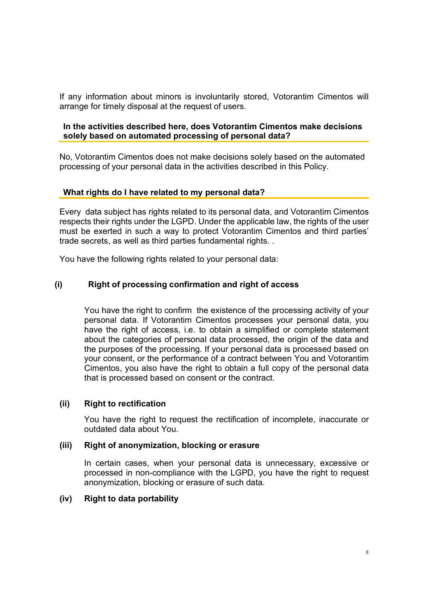If any information about minors is involuntarily stored, Votorantim Cimentos will arrange for timely disposal at the request of users.

## In the activities described here, does Votorantim Cimentos make decisions solely based on automated processing of personal data?

No, Votorantim Cimentos does not make decisions solely based on the automated processing of your personal data in the activities described in this Policy.

### What rights do I have related to my personal data?

Every data subject has rights related to its personal data, and Votorantim Cimentos respects their rights under the LGPD. Under the applicable law, the rights of the user must be exerted in such a way to protect Votorantim Cimentos and third parties' trade secrets, as well as third parties fundamental rights. .

You have the following rights related to your personal data:

#### (i) Right of processing confirmation and right of access

You have the right to confirm the existence of the processing activity of your personal data. If Votorantim Cimentos processes your personal data, you have the right of access, i.e. to obtain a simplified or complete statement about the categories of personal data processed, the origin of the data and the purposes of the processing. If your personal data is processed based on your consent, or the performance of a contract between You and Votorantim Cimentos, you also have the right to obtain a full copy of the personal data that is processed based on consent or the contract.

#### (ii) Right to rectification

You have the right to request the rectification of incomplete, inaccurate or outdated data about You.

#### (iii) Right of anonymization, blocking or erasure

In certain cases, when your personal data is unnecessary, excessive or processed in non-compliance with the LGPD, you have the right to request anonymization, blocking or erasure of such data.

#### (iv) Right to data portability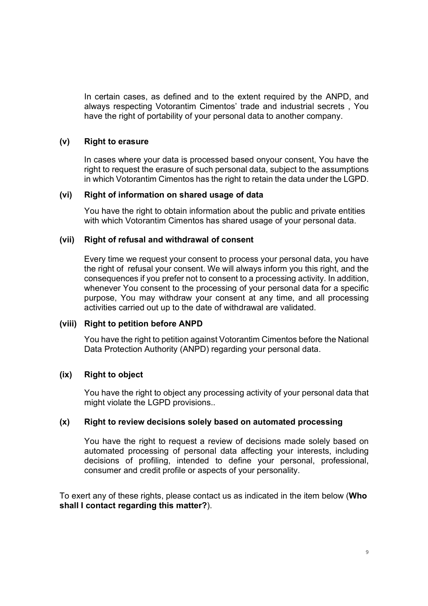In certain cases, as defined and to the extent required by the ANPD, and always respecting Votorantim Cimentos' trade and industrial secrets , You have the right of portability of your personal data to another company.

## (v) Right to erasure

In cases where your data is processed based onyour consent, You have the right to request the erasure of such personal data, subject to the assumptions in which Votorantim Cimentos has the right to retain the data under the LGPD.

# (vi) Right of information on shared usage of data

You have the right to obtain information about the public and private entities with which Votorantim Cimentos has shared usage of your personal data.

# (vii) Right of refusal and withdrawal of consent

Every time we request your consent to process your personal data, you have the right of refusal your consent. We will always inform you this right, and the consequences if you prefer not to consent to a processing activity. In addition, whenever You consent to the processing of your personal data for a specific purpose, You may withdraw your consent at any time, and all processing activities carried out up to the date of withdrawal are validated.

### (viii) Right to petition before ANPD

You have the right to petition against Votorantim Cimentos before the National Data Protection Authority (ANPD) regarding your personal data.

### (ix) Right to object

You have the right to object any processing activity of your personal data that might violate the LGPD provisions..

### (x) Right to review decisions solely based on automated processing

You have the right to request a review of decisions made solely based on automated processing of personal data affecting your interests, including decisions of profiling, intended to define your personal, professional, consumer and credit profile or aspects of your personality.

To exert any of these rights, please contact us as indicated in the item below (Who shall I contact regarding this matter?).